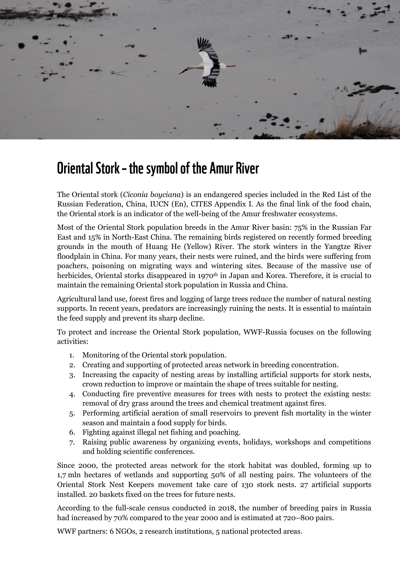

## **Oriental Stork - the symbol of the Amur River**

The Oriental stork (*Ciconia boyciana*) is an endangered species included in the Red List of the Russian Federation, China, IUCN (En), CITES Appendix I. As the final link of the food chain, the Oriental stork is an indicator of the well-being of the Amur freshwater ecosystems.

Most of the Oriental Stork population breeds in the Amur River basin: 75% in the Russian Far East and 15% in North-East China. The remaining birds registered on recently formed breeding grounds in the mouth of Huang He (Yellow) River. The stork winters in the Yangtze River floodplain in China. For many years, their nests were ruined, and the birds were suffering from poachers, poisoning on migrating ways and wintering sites. Because of the massive use of herbicides, Oriental storks disappeared in 1970<sup>th</sup> in Japan and Korea. Therefore, it is crucial to maintain the remaining Oriental stork population in Russia and China.

Agricultural land use, forest fires and logging of large trees reduce the number of natural nesting supports. In recent years, predators are increasingly ruining the nests. It is essential to maintain the feed supply and prevent its sharp decline.

To protect and increase the Oriental Stork population, WWF-Russia focuses on the following activities:

- 1. Monitoring of the Oriental stork population.
- 2. Creating and supporting of protected areas network in breeding concentration.
- 3. Increasing the capacity of nesting areas by installing artificial supports for stork nests, сrown reduction to improve or maintain the shape of trees suitable for nesting.
- 4. Conducting fire preventive measures for trees with nests to protect the existing nests: removal of dry grass around the trees and chemical treatment against fires.
- 5. Performing artificial aeration of small reservoirs to prevent fish mortality in the winter season and maintain a food supply for birds.
- 6. Fighting against illegal net fishing and poaching.
- 7. Raising public awareness by organizing events, holidays, workshops and competitions and holding scientific conferences.

Since 2000, the protected areas network for the stork habitat was doubled, forming up to 1,7 mln hectares of wetlands and supporting 50% of all nesting pairs. The volunteers of the Oriental Stork Nest Keepers movement take care of 130 stork nests. 27 artificial supports installed. 20 baskets fixed on the trees for future nests.

According to the full-scale census conducted in 2018, the number of breeding pairs in Russia had increased by 70% compared to the year 2000 and is estimated at 720–800 pairs.

WWF partners: 6 NGOs, 2 research institutions, 5 national protected areas.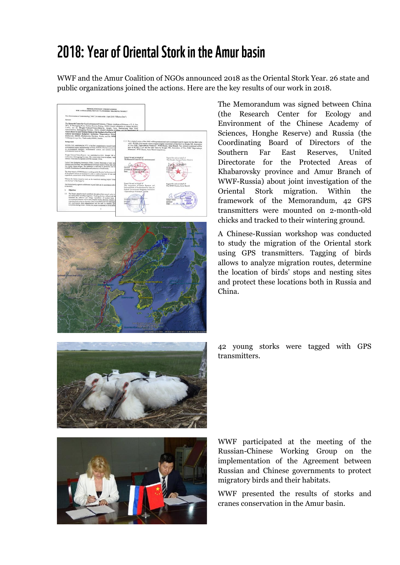## 2018: Year of Oriental Stork in the Amur basin

WWF and the Amur Coalition of NGOs announced 2018 as the Oriental Stork Year. 26 state and public organizations joined the actions. Here are the key results of our work in 2018.





The Memorandum was signed between China (the Research Center for Ecology and Environment of the Chinese Academy of Sciences, Honghe Reserve) and Russia (the Coordinating Board of Directors of the Southern Far East Reserves, United Directorate for the Protected Areas of Khabarovsky province and Amur Branch of WWF-Russia) about joint investigation of the Oriental Stork migration. Within the framework of the Memorandum, 42 GPS transmitters were mounted on 2-month-old chicks and tracked to their wintering ground.

A Chinese-Russian workshop was conducted to study the migration of the Oriental stork using GPS transmitters. Tagging of birds allows to analyze migration routes, determine the location of birds' stops and nesting sites and protect these locations both in Russia and China.



42 young storks were tagged with GPS transmitters.



WWF participated at the meeting of the Russian-Chinese Working Group on the implementation of the Agreement between Russian and Chinese governments to protect migratory birds and their habitats.

WWF presented the results of storks and cranes conservation in the Amur basin.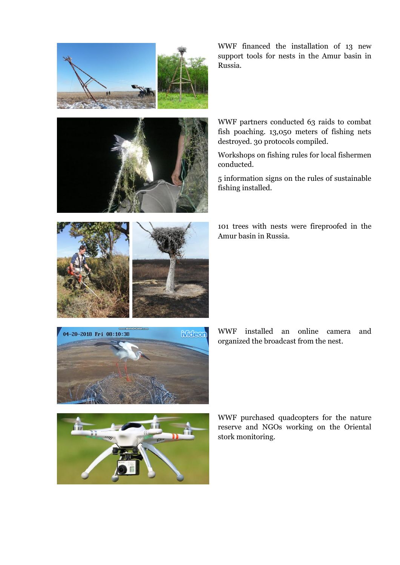





WWF partners conducted 63 raids to combat fish poaching. 13,050 meters of fishing nets destroyed. 30 protocols compiled.

Workshops on fishing rules for local fishermen conducted.

5 information signs on the rules of sustainable fishing installed.





WWF installed an online camera and organized the broadcast from the nest.



 $\frac{1}{100}$ 

WWF purchased quadcopters for the nature reserve and NGOs working on the Oriental stork monitoring.